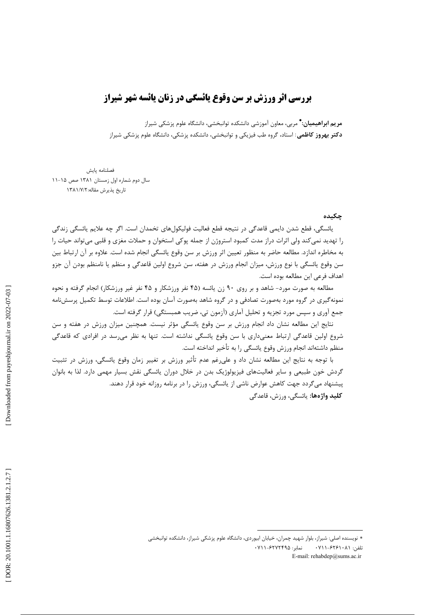# **بررسی اثر ورزش بر سن وقوع یائسگی در زنان یائسه شهر شیراز**

**مریم ابراهیمیان:\*** مربی، معاون آموزشی دانشکده توانبخشی، دانشگاه علوم پزشکی شیراز **دکتر بهروز کاظمی**: استاد، گروه طب فیزیکی و توانبخشی، دانشکده پزشکی، دانشگاه علوم پزشکی شیراز

فصلنامه يايش سال دوم شماره اول زمستان ۱۳۸۱ صص ۱۵-۱۱ تاريخ پذيرش مقاله: ١٣٨١/٧/٢

#### چکیده

يائسگي، قطع شدن دايمي قاعدگي در نتيجه قطع فعاليت فوليكولهاي تخمدان است. اگر جه علايم پائسگي زندگي را تهدید نمی کند ولی اثرات دراز مدت کمبود استروژن از جمله پوکی استخوان و حملات مغزی و قلبی میتواند حیات را به مخاطره اندازد. مطالعه حاضر به منظور تعيين اثر ورزش بر سن وقوع يائسگي انجام شده است. علاوه بر آن ارتباط بين سن وقوع یائسگی با نوع ورزش، میزان انجام ورزش در هفته، سن شروع اولین قاعدگی و منظم یا نامنظم بودن آن جزو اهداف فرعي اين مطالعه بوده است.

مطالعه به صورت مورد- شاهد و بر روی ۹۰ زن یائسه (۴۵ نفر ورزشکار و ۴۵ نفر غیر ورزشکار) انجام گرفته و نحوه نمونه گیری در گروه مورد بهصورت تصادفی و در گروه شاهد بهصورت آسان بوده است. اطلاعات توسط تکمیل پرسشiامه جمع آوري و سپس مورد تجزيه و تحليل آماري (آزمون تي، ضريب همبستگي) قرار گرفته است.

نتايج اين مطالعه نشان داد انجام ورزش بر سن وقوع يائسگي مؤثر نيست. همچنين ميزان ورزش در هفته و سن شروع اولین قاعدگی ارتباط معنیداری با سن وقوع پائسگی نداشته است. تنها به نظر می رسد در افرادی که قاعدگی منظم داشتهاند انجام ورزش وقوع يائسگي را به تأخير انداخته است.

با توجه به نتايج اين مطالعه نشان داد و علىرغم عدم تأثير ورزش بر تغيير زمان وقوع يائسگي، ورزش در تثبيت گردش خون طبیعی و سایر فعالیتهای فیزیولوژیک بدن در خلال دوران یائسگی نقش بسیار مهمی دارد. لذا به بانوان پیشنهاد میگردد جهت کاهش عوارض ناشی از یائسگی، ورزش را در برنامه روزانه خود قرار دهند. **كليد واژەها:** يائسگى، ورزش، قاعدگى

<sup>\*</sup> نویسنده اصلی: شیراز، بلوار شهید چمران، خیابان ابیوردی، دانشگاه علوم پزشکی شیراز، دانشکده توانبخشی نمایر: ۶۲۷۲۴۹۵-۰۷۱۱ تلفن: ۰۷۱۱-۶۲۶۱۰۸۱ E-mail: rehabdep@sums.ac.ir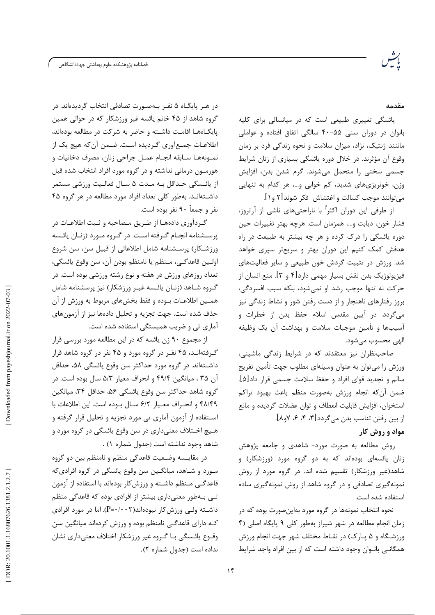فصلنامه پژوهشكده علوم بهداشتى جهاددانشگاهى

#### مقدمه

یائسگی تغییری طبیعی است که در میانسالی برای کلیه بانوان در دوران سنی ۵۵–۴۰ سالگی اتفاق افتاده و عواملی ماننند ژنتیک، نژاد، میزان سلامت و نحوه زندگی فرد بر زمان وقوع آن مؤثرند. در خلال دوره یائسگی بسیاری از زنان شرایط جسمی سختی را متحمل می شوند. گرم شدن بدن، افزایش وزن، خونریزی های شدید، کم خوابی و…، هر کدام به تنهایی می توانند موجب کسالت و اغتشاش فکر شوند[۲ و ۱].

از طرفی این دوران اکثراً با ناراحتیهای ناشی از آرتروز، فشار خون، ديابت و...، همزمان است. هرچه بهتر تغييرات حين دوره پائسگی را درک کرده و هر چه بیشتر به طبیعت در راه هدفش کمک کنیم این دوران بهتر و سریعتر سپری خواهد شد. ورزش در تثبیت گردش خون طبیعی و سایر فعالیتهای فيزيولوژيک بدن نقش بسيار مهمي دارد[۴ و ۳]. منع انسان از حركت نه تنها موجب رشد او نمىشود، بلكه سبب افسردگى، بروز رفتارهای ناهنجار و از دست رفتن شور و نشاط زندگی نیز میگردد. در آیین مقدس اسلام حفظ بدن از خطرات و آسیبها و تأمین موجبات سلامت و بهداشت آن یک وظیفه الهي محسوب مي شود.

صاحب نظران نیز معتقدند که در شرایط زندگی ماشینی، ورزش را میتوان به عنوان وسیلهای مطلوب جهت تأمین تفریح سالم و تجدید قوای افراد و حفظ سلامت جسمی قرار داد[۵]. ضمن آنكه انجام ورزش بهصورت منظم باعث بهبود تراكم استخوان، افزایش قابلیت انعطاف و توان عضلات گردیده و مانع از بين رفتن تناسب بدن مي گردد [٣، ٤، ۶، ٧و٨].

## مواد و روش کار

روش مطالعه به صورت مورد- شاهدی و جامعه پژوهش زنان یائسهای بودهاند که به دو گروه مورد (ورزشکار) و شاهد(غیر ورزشکار) تقسیم شده اند. در گروه مورد از روش نمونه گیری تصادفی و در گروه شاهد از روش نمونهگیری ساده استفاده شده است.

نحوه انتخاب نمونهها در گروه مورد بهاینصورت بوده که در زمان انجام مطالعه در شهر شیراز بهطور کلی ۹ پایگاه اصلی (۴ ورزشگاه و ۵ پـارک) در نقـاط مختلف شهر جهت انجام ورزش همگانـی بانـوان وجود داشته است که از بین افراد واجد شرایط

در هـر پايگــاه ۵ نفــر بــهصــورت تصادفي انتخاب گرديدهاند. در گروه شاهد از ۴۵ خانم یائسه غیر ورزشکار که در حوالی همین يايگــاههــا اقامــت داشــته و حاضر به شركت در مطالعه بودهاند، اطلاعـات جمـع|َوري گـرديده اسـت. ضـمن أن كه هيچ يک از نمـونههـا سـابقه انجـام عمـل جراحي زنان، مصرف دخانيات و هورمـون درمانی نداشته و در گروه مورد افراد انتخاب شده قبل از یائـسگی حـداقل بـه مـدت ۵ سـال فعالـیت ورزشی مستمر داشـتهانـد. بهطور كلي تعداد افراد مورد مطالعه در هر گروه ۴۵ نفر و جمعاً ۹۰ نفر بوده است.

گردآوری دادههـا از طـریق مـصاحبه و ثـبت اطلاعـات در پرسشنامه انجـام گـرفته اسـت. در گـروه مـورد (زنـان يائـسه ورزشـكار) پرسـشنامه شامل اطلاعاتي از قبيل سن، سن شروع اولين قاعدگي، مـنظم يا نامنظم بودن آن، سن وقوع يائسگي، تعداد روزهای ورزش در هفته و نوع رشته ورزشی بوده است. در گـروه شـاهد (زنـان يائـسه غيـر ورزشكار) نيز پرسشنامه شامل همــين اطلاعـات بــوده و فقط بخشهاى مربوط به ورزش از آن حذف شده است. جهت تجزيه و تحليل دادهها نيز از آزمونهاي آماری تی و ضریب همبستگی استفاده شده است.

از مجموع ۹۰ زن یائسه که در این مطالعه مورد بررسی قرار گرفتهانـد، ۴۵ نفـر در گروه مورد و ۴۵ نفر در گروه شاهد قرار داشــتهاند. در گروه مورد حداكثر سن وقوع يائسگي ۵۸، حداقل آن ۳۵ ، میانگین ۴۹/۴ و انحراف معیار ۵/۳ سال بوده است. در گروه شاهد حداكثر سن وقوع يائسگي ۵۶، حداقل ۳۴، ميانگين ۴۸/۴۹ و انحراف معيار ۶/۲ سال بوده است. اين اطلاعات با اسـتفاده از آزمون آماري تي مورد تجزيه و تحليل قرار گرفته و هـيچ اخـتلاف معنىداري در سن وقوع يائسگي در گروه مورد و شاهد وجود نداشته است (جدول شماره ۱) .

در مقايــسه وضـعيت قاعدگي منظم و نامنظم بين دو گروه مـورد و شـاهد، ميانگـين سن وقوع يائسگي در گروه افراديكه قاعدگے منظم داشته و ورزش کار بودہاند با استفاده از آزمون تـی بـهطور معنیداری بیشتر از افرادی بوده که قاعدگی منظم داشــته ولــی ورزش کار نبودهاند(P=٠/٠٠٢). اما در مورد افرادی کـه دارای قاعدگــی نامنظم بوده و ورزش کردهاند میانگین سن وقـوع يائـسگي بـا گـروه غير ورزشكار اختلاف معنىداري نشان نداده است (جدول شماره ٢).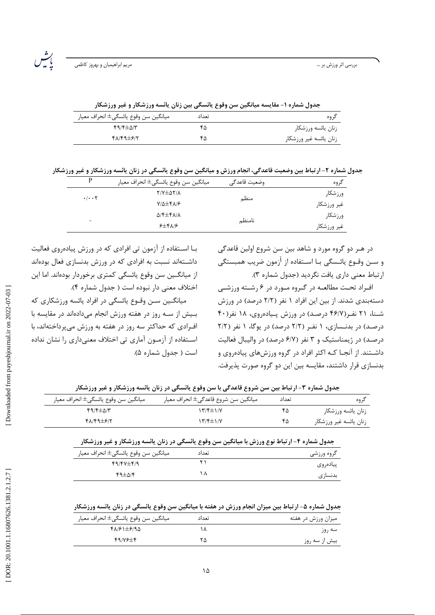رشہ<br>پید

| جدول شماره ۱- مقایسه میانگین سن وقوع یائسگی بین زنان یائسه ورزشکار و غیر ورزشکار |  |  |
|----------------------------------------------------------------------------------|--|--|
|                                                                                  |  |  |

| ميانگين سن وقوع يائسگي± انحراف معيار | تعداد | ک وه                   |
|--------------------------------------|-------|------------------------|
| $f9/F \pm \Delta/T$                  |       | زنان يائسه ورزشكار     |
| $FA/F9\pm F/Y$                       | ۴۵    | زنان يائسه غير ورزشكار |
|                                      |       |                        |

جدول شماره ۲- ارتباط بین وضعیت قاعدگی، انجام ورزش و میانگین سن وقوع یائسگی در زنان یائسه ورزشکار و غیر ورزشکار

| P                                 | ميانگين سن وقوع يائسگي± انحراف معيار      | وضعيت قاعدگى | گروه        |
|-----------------------------------|-------------------------------------------|--------------|-------------|
| $\cdot$ / $\cdot$ $\cdot$ $\cdot$ | $Y/Y \pm \Delta Y/\lambda$                |              | ورزشكار     |
|                                   | $Y/\Delta \pm Y\Lambda/F$                 | منظم         | غير ورزشكار |
|                                   | $\Delta$ /۴ $\pm$ ۴ $\Lambda$ / $\Lambda$ |              | ورزشكار     |
| -                                 | $5\pm 8\sqrt{2}$                          | نامنظم       | غير ورزشكار |

در هـر دو گروه مورد و شاهد بين سن شروع اولين قاعدگي و ســن وقــوع يائــسگى بــا اســتفاده از <sup>آ</sup>زمون ضريب همبستگى ارتباط معنى دارى يافت نكرديد (جدول شماره ٣).

افراد تحت مطالعه در گروه مورد در ۶ رشته ورزشی دستهبندی شدند. از بین این افراد ۱ نفر (۲/۲ درصد) در ورزش شـنا، ۲۱ نفـر(۴۶/۷ درصـد) در ورزش پـیادهروی، ۱۸ نفر(۴۰ درصد) در بدنـسازی، ۱ نفـر (۲/۲ درصد) در یوگا، ۱ نفر (۲/۲ درصد) در ژیمناستیک و ۳ نفر (۶/۷ درصد) در والیبال فعالیت داشـتند. از آنجـا کـه اکثر افراد در گروه ورزشهای پیادهروی و بدنسازی قرار داشتند، مقایسه بین این دو گروه صورت پذیرفت.

بـا اسـتفاده از آزمون تي افرادي كه در ورزش پيادهروي فعاليت داشــتهاند نسبت به افرادی که در ورزش بدنسازی فعال بودهاند از میانگـین سن وقوع یائسگی کمتری برخوردار بودهاند. اما این اختلاف معنى دار نبوده است ( جدول شماره ۴).

میانگـین سـن وقـوع پائسگی در افراد پائسه ورزشکاری که بیش از سه روز در هفته ورزش انجام میدادهاند در مقایسه با افرادی که حداکثر سه روز در هفته به ورزش می پرداختهاند، با اسـتفاده از آزمـون آماري تي اختلاف معنىداري را نشان نداده است ( جدول شماره ۵).

| جدول شماره ۳- ارتباط بین سن شروع قاعدگی با سن وقوع یائسگی در زنان یائسه ورزشکار و غیر ورزشکار |
|-----------------------------------------------------------------------------------------------|
|-----------------------------------------------------------------------------------------------|

| ميانگين سن وقوع يائسگي± انحراف معيار | ميانگين سن شروع قاعدگي± انحراف معيار | تعداد | در وه                  |
|--------------------------------------|--------------------------------------|-------|------------------------|
| $f9/F \pm \Delta/T$                  | ۱۳/۴±۱/۷                             | ۳۵    | زنان يائسه ورزشكار     |
| 48149±617                            | ۱۳/۴±۱/۷                             | ۴۵    | زنان يائسه غير ورزشكار |

| جدول شماره ۴- ارتباط نوع ورزش با میانگین سن وقوع یائسگی در زنان یائسه ورزشکار و غیر ورزشکار |       |            |  |
|---------------------------------------------------------------------------------------------|-------|------------|--|
| ميانگين سن وقوع يائسگي± انحراف معيار                                                        | تعداد | گروه ورزشی |  |
| $49/4V \pm 6/9$                                                                             |       | ييادەروى   |  |
| $44\pm 0.15$                                                                                |       | بدنساز ی   |  |

جدول شماره ۵- ارتباط بین میزان انجام ورزش در هفته با میانگین سن وقوع یائسگی در زنان یائسه ورزشکار

| ميانگين سن وقوع يائسگي± انحراف معيار | تعداد | میزان ورزش در هفته |
|--------------------------------------|-------|--------------------|
| 61/21±6/9                            |       | سه روز             |
| 44/19                                | ۲۵    | بیش از سه روز      |

Downloaded from payeshjournal.ir on 2022-07-03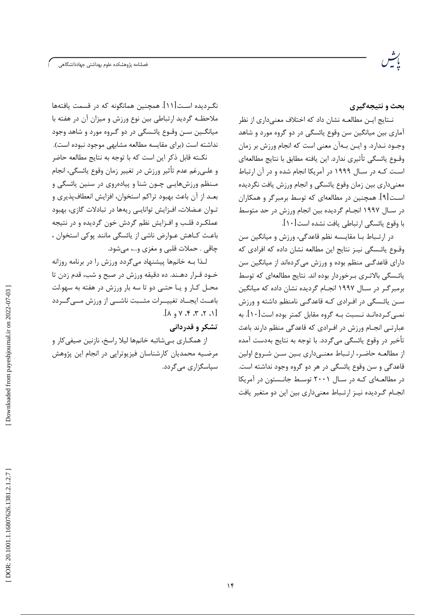.<br>فصلنامه پژوهشکده علوم بهداشتی جهاددانشگاهی

بحث و نتیجهگیری

نــتايج ايــن مطالعــه نشان داد كه اختلاف معنىدارى از نظر آماري بين ميانگين سن وقوع پائسگي در دو گروه مورد و شاهد وجــود نــدارد. و ايــن بــهآن معنى است كه انجام ورزش بر زمان وقــوع يائسگي تأثيري ندارد. اين يافته مطابق با نتايج مطالعهاي است کـه در سـال ۱۹۹۹ در آمریکا انجام شده و در آن ارتباط معنیداری بین زمان وقوع پائسگی و انجام ورزش یافت نگردیده اسـت[۹]. همچنین در مطالعهای که توسط برمبرگر و همکاران در سـال ۱۹۹۷ انجـام گردیده بین انجام ورزش در حد متوسط با وقوع يائسگي ارتباطي يافت نشده است[١٠].

در ارتـباط بــا مقايــسه نظم قاعدگي، ورزش و ميانگين سن وقـوع يائـسگى نيـز نتايج اين مطالعه نشان داده كه افرادى كه دارای قاعدگـی منظم بوده و ورزش می کردهاند از میانگین سن یائـسگی بالاتـری بـرخوردار بوده اند. نتایج مطالعهای که توسط برمبرگـر در سـال ۱۹۹۷ انجـام گردیده نشان داده که میانگین سـن پائـسگے در افـرادی کـه قاعدگـے نامنظم داشته و ورزش نمـی کـردهانـد نـسبت بـه گروه مقابل کمتر بوده است[۱۰]. به عبارتے انجـام ورزش در افـرادی که قاعدگی منظم دارند باعث تأخير در وقوع يائسگي مي گردد. با توجه به نتايج بهدست آمده از مطالعـه حاضـر، ارتـباط معنـی۱داری بـین سـن شـروع اولین قاعدگی و سن وقوع پائسگی در هر دو گروه وجود نداشته است. در مطالعـهای کـه در سـال ۲۰۰۱ توسـط جانـستون در آمریکا انجـام گـرديده نيـز ارتـباط معنىدارى بين اين دو متغير يافت

نگـردیده اسـت[۱۱]. همچنین همانگونه که در قسمت یافتهها ملاحظـه گرديد ارتباطي بين نوع ورزش و ميزان آن در هفته با ميانگــين ســن وقــوع پائــسگے در دو گــروه مورد و شاهد وجود نداشته است (برای مقایسه مطالعه مشابهی موجود نبوده است).

نكــته قابل ذكر اين است كه با توجه به نتايج مطالعه حاضر و علــي(غم عدم تأثير ورزش در تغيير زمان وقوع يائسگي، انجام مـنظم ورزشهایـی چـون شنا و پیادهروی در سنین پائسگی و بعـد از آن باعث بهبود تراكم استخوان، افزايش انعطافپذيري و تـوان عـضلات، افـزايش توانايـى ريهها در تبادلات گازى، بهبود عملکـرد قلـب و افـزايش نظم گردش خون گرديده و در نتيجه باعث كـاهش عـوارض ناشي از يائسگي مانند پوكي استخوان ، چاقي . حملات قلبي و مغزي و…، مي شود.

لـذا بـه خانمها پیشنهاد میگردد ورزش را در برنامه روزانه خــود قــرار دهــند. ده دقيقه ورزش در صبح و شب، قدم زدن تا محـل كـار و يـا حتـى دو تا سه بار ورزش در هفته به سهو.لت باعــث ايجــاد تغييــرات مثــبت ناشـــي از ورزش مـــي گــردد  $[ \wedge , \wedge , \wedge , \vee , \wedge ]$ 

تشکر و قدردانی

از همكـاري بـيشائبه خانمها ليلا راسخ، نازنين صيفيكار و مرضیه محمدیان کارشناسان فیزیوتراپی در انجام این پژوهش سیاسگزاری مے گردد.